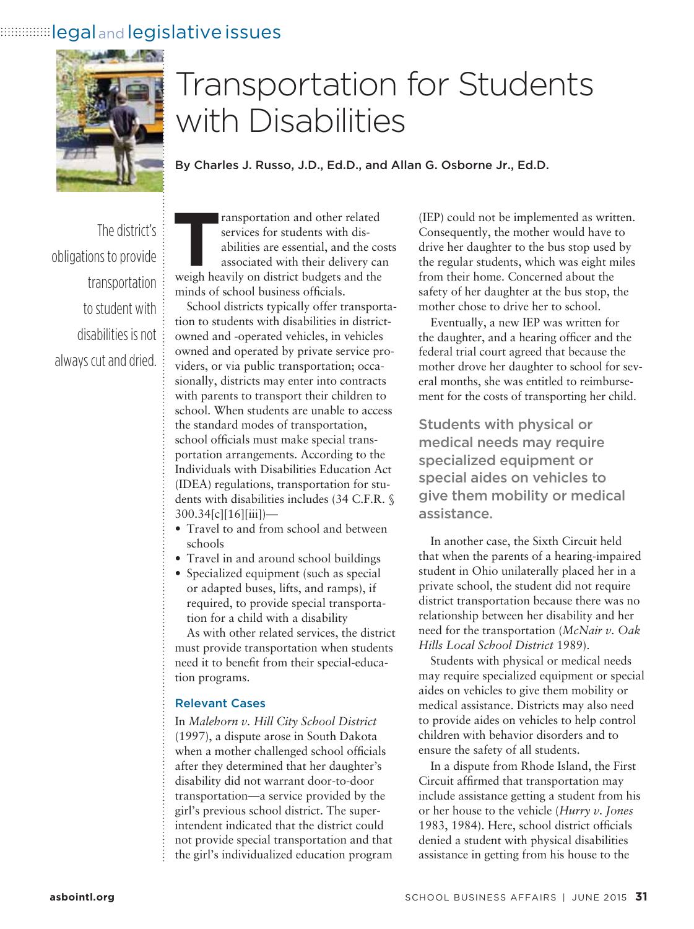## **Ellegal and legislative issues**



# Transportation for Students with Disabilities

By Charles J. Russo, J.D., Ed.D., and Allan G. Osborne Jr., Ed.D.

The district's obligations to provide transportation to student with disabilities is not always cut and dried. **Transportation and other related**<br>
services for students with dis-<br>
abilities are essential, and the cos<br>
associated with their delivery car<br>
weigh heavily on district budgets and the services for students with disabilities are essential, and the costs associated with their delivery can minds of school business officials.

School districts typically offer transportation to students with disabilities in districtowned and -operated vehicles, in vehicles owned and operated by private service providers, or via public transportation; occasionally, districts may enter into contracts with parents to transport their children to school. When students are unable to access the standard modes of transportation, school officials must make special transportation arrangements. According to the Individuals with Disabilities Education Act (IDEA) regulations, transportation for students with disabilities includes (34 C.F.R. § 300.34[c][16][iii])—

- Travel to and from school and between schools
- Travel in and around school buildings
- Specialized equipment (such as special or adapted buses, lifts, and ramps), if required, to provide special transportation for a child with a disability

As with other related services, the district must provide transportation when students need it to benefit from their special-education programs.

#### Relevant Cases

In *Malehorn v. Hill City School District* (1997), a dispute arose in South Dakota when a mother challenged school officials after they determined that her daughter's disability did not warrant door-to-door transportation—a service provided by the girl's previous school district. The superintendent indicated that the district could not provide special transportation and that the girl's individualized education program

(IEP) could not be implemented as written. Consequently, the mother would have to drive her daughter to the bus stop used by the regular students, which was eight miles from their home. Concerned about the safety of her daughter at the bus stop, the mother chose to drive her to school.

Eventually, a new IEP was written for the daughter, and a hearing officer and the federal trial court agreed that because the mother drove her daughter to school for several months, she was entitled to reimbursement for the costs of transporting her child.

Students with physical or medical needs may require specialized equipment or special aides on vehicles to give them mobility or medical assistance.

In another case, the Sixth Circuit held that when the parents of a hearing-impaired student in Ohio unilaterally placed her in a private school, the student did not require district transportation because there was no relationship between her disability and her need for the transportation (*McNair v. Oak Hills Local School District* 1989).

Students with physical or medical needs may require specialized equipment or special aides on vehicles to give them mobility or medical assistance. Districts may also need to provide aides on vehicles to help control children with behavior disorders and to ensure the safety of all students.

In a dispute from Rhode Island, the First Circuit affirmed that transportation may include assistance getting a student from his or her house to the vehicle (*Hurry v. Jones* 1983, 1984). Here, school district officials denied a student with physical disabilities assistance in getting from his house to the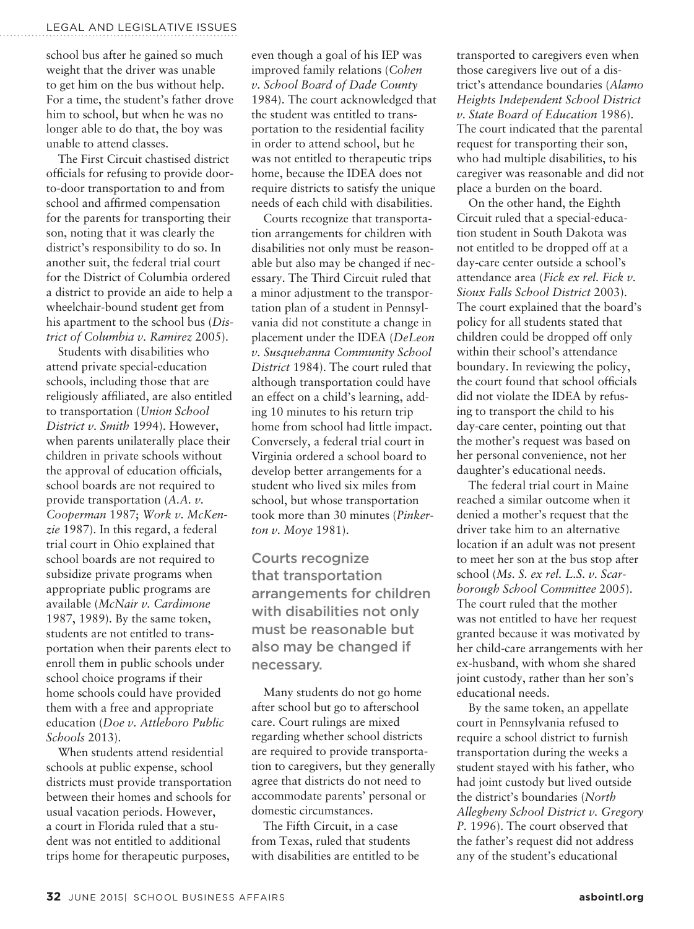school bus after he gained so much weight that the driver was unable to get him on the bus without help. For a time, the student's father drove him to school, but when he was no longer able to do that, the boy was unable to attend classes.

The First Circuit chastised district officials for refusing to provide doorto-door transportation to and from school and affirmed compensation for the parents for transporting their son, noting that it was clearly the district's responsibility to do so. In another suit, the federal trial court for the District of Columbia ordered a district to provide an aide to help a wheelchair-bound student get from his apartment to the school bus (*District of Columbia v. Ramirez* 2005).

Students with disabilities who attend private special-education schools, including those that are religiously affiliated, are also entitled to transportation (*Union School District v. Smith* 1994). However, when parents unilaterally place their children in private schools without the approval of education officials, school boards are not required to provide transportation (*A.A. v. Cooperman* 1987; *Work v. McKenzie* 1987). In this regard, a federal trial court in Ohio explained that school boards are not required to subsidize private programs when appropriate public programs are available (*McNair v. Cardimone* 1987, 1989). By the same token, students are not entitled to transportation when their parents elect to enroll them in public schools under school choice programs if their home schools could have provided them with a free and appropriate education (*Doe v. Attleboro Public Schools* 2013).

When students attend residential schools at public expense, school districts must provide transportation between their homes and schools for usual vacation periods. However, a court in Florida ruled that a student was not entitled to additional trips home for therapeutic purposes,

even though a goal of his IEP was improved family relations (*Cohen v. School Board of Dade County*  1984). The court acknowledged that the student was entitled to transportation to the residential facility in order to attend school, but he was not entitled to therapeutic trips home, because the IDEA does not require districts to satisfy the unique needs of each child with disabilities.

Courts recognize that transportation arrangements for children with disabilities not only must be reasonable but also may be changed if necessary. The Third Circuit ruled that a minor adjustment to the transportation plan of a student in Pennsylvania did not constitute a change in placement under the IDEA (*DeLeon v. Susquehanna Community School District* 1984). The court ruled that although transportation could have an effect on a child's learning, adding 10 minutes to his return trip home from school had little impact. Conversely, a federal trial court in Virginia ordered a school board to develop better arrangements for a student who lived six miles from school, but whose transportation took more than 30 minutes (*Pinkerton v. Moye* 1981).

Courts recognize that transportation arrangements for children with disabilities not only must be reasonable but also may be changed if necessary.

Many students do not go home after school but go to afterschool care. Court rulings are mixed regarding whether school districts are required to provide transportation to caregivers, but they generally agree that districts do not need to accommodate parents' personal or domestic circumstances.

The Fifth Circuit, in a case from Texas, ruled that students with disabilities are entitled to be transported to caregivers even when those caregivers live out of a district's attendance boundaries (*Alamo Heights Independent School District v. State Board of Education* 1986). The court indicated that the parental request for transporting their son, who had multiple disabilities, to his caregiver was reasonable and did not place a burden on the board.

On the other hand, the Eighth Circuit ruled that a special-education student in South Dakota was not entitled to be dropped off at a day-care center outside a school's attendance area (*Fick ex rel. Fick v. Sioux Falls School District* 2003). The court explained that the board's policy for all students stated that children could be dropped off only within their school's attendance boundary. In reviewing the policy, the court found that school officials did not violate the IDEA by refusing to transport the child to his day-care center, pointing out that the mother's request was based on her personal convenience, not her daughter's educational needs.

The federal trial court in Maine reached a similar outcome when it denied a mother's request that the driver take him to an alternative location if an adult was not present to meet her son at the bus stop after school (*Ms. S. ex rel. L.S. v. Scarborough School Committee* 2005). The court ruled that the mother was not entitled to have her request granted because it was motivated by her child-care arrangements with her ex-husband, with whom she shared joint custody, rather than her son's educational needs.

By the same token, an appellate court in Pennsylvania refused to require a school district to furnish transportation during the weeks a student stayed with his father, who had joint custody but lived outside the district's boundaries (*North Allegheny School District v. Gregory P.* 1996). The court observed that the father's request did not address any of the student's educational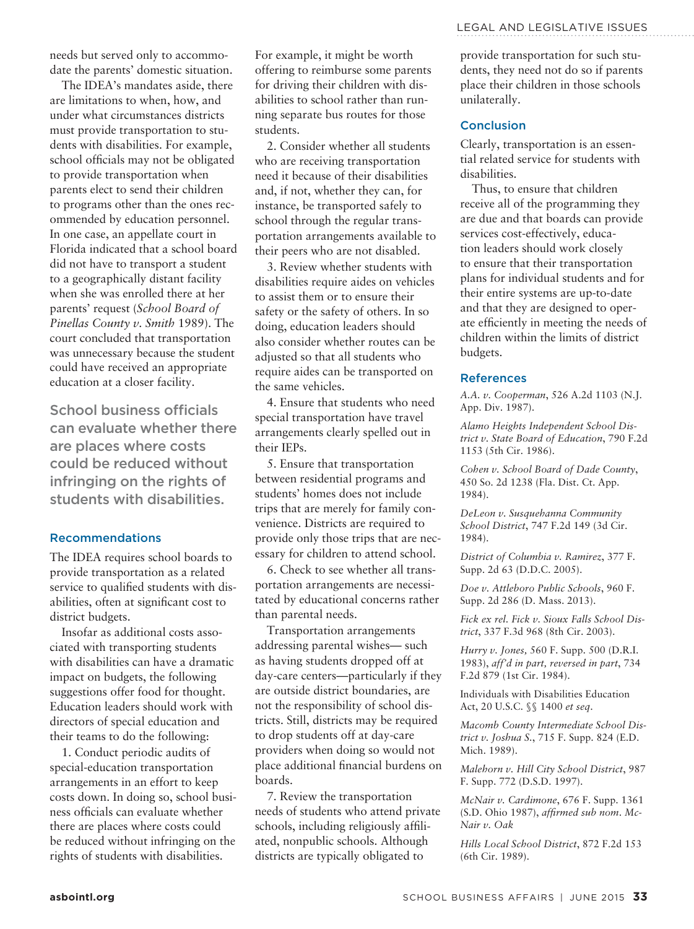needs but served only to accommodate the parents' domestic situation.

The IDEA's mandates aside, there are limitations to when, how, and under what circumstances districts must provide transportation to students with disabilities. For example, school officials may not be obligated to provide transportation when parents elect to send their children to programs other than the ones recommended by education personnel. In one case, an appellate court in Florida indicated that a school board did not have to transport a student to a geographically distant facility when she was enrolled there at her parents' request (*School Board of Pinellas County v. Smith* 1989). The court concluded that transportation was unnecessary because the student could have received an appropriate education at a closer facility.

School business officials can evaluate whether there are places where costs could be reduced without infringing on the rights of students with disabilities.

#### Recommendations

The IDEA requires school boards to provide transportation as a related service to qualified students with disabilities, often at significant cost to district budgets.

Insofar as additional costs associated with transporting students with disabilities can have a dramatic impact on budgets, the following suggestions offer food for thought. Education leaders should work with directors of special education and their teams to do the following:

1. Conduct periodic audits of special-education transportation arrangements in an effort to keep costs down. In doing so, school business officials can evaluate whether there are places where costs could be reduced without infringing on the rights of students with disabilities.

For example, it might be worth offering to reimburse some parents for driving their children with disabilities to school rather than running separate bus routes for those students.

2. Consider whether all students who are receiving transportation need it because of their disabilities and, if not, whether they can, for instance, be transported safely to school through the regular transportation arrangements available to their peers who are not disabled.

3. Review whether students with disabilities require aides on vehicles to assist them or to ensure their safety or the safety of others. In so doing, education leaders should also consider whether routes can be adjusted so that all students who require aides can be transported on the same vehicles.

4. Ensure that students who need special transportation have travel arrangements clearly spelled out in their IEPs.

5. Ensure that transportation between residential programs and students' homes does not include trips that are merely for family convenience. Districts are required to provide only those trips that are necessary for children to attend school.

6. Check to see whether all transportation arrangements are necessitated by educational concerns rather than parental needs.

Transportation arrangements addressing parental wishes— such as having students dropped off at day-care centers—particularly if they are outside district boundaries, are not the responsibility of school districts. Still, districts may be required to drop students off at day-care providers when doing so would not place additional financial burdens on boards.

7. Review the transportation needs of students who attend private schools, including religiously affiliated, nonpublic schools. Although districts are typically obligated to

provide transportation for such students, they need not do so if parents place their children in those schools unilaterally.

#### Conclusion

Clearly, transportation is an essential related service for students with disabilities.

Thus, to ensure that children receive all of the programming they are due and that boards can provide services cost-effectively, education leaders should work closely to ensure that their transportation plans for individual students and for their entire systems are up-to-date and that they are designed to operate efficiently in meeting the needs of children within the limits of district budgets.

#### References

*A.A. v. Cooperman*, 526 A.2d 1103 (N.J. App. Div. 1987).

*Alamo Heights Independent School District v. State Board of Education*, 790 F.2d 1153 (5th Cir. 1986).

*Cohen v. School Board of Dade County*, 450 So. 2d 1238 (Fla. Dist. Ct. App. 1984).

*DeLeon v. Susquehanna Community School District*, 747 F.2d 149 (3d Cir. 1984).

*District of Columbia v. Ramirez*, 377 F. Supp. 2d 63 (D.D.C. 2005).

*Doe v. Attleboro Public Schools*, 960 F. Supp. 2d 286 (D. Mass. 2013).

*Fick ex rel. Fick v. Sioux Falls School District*, 337 F.3d 968 (8th Cir. 2003).

*Hurry v. Jones,* 560 F. Supp. 500 (D.R.I. 1983), *aff'd in part, reversed in part*, 734 F.2d 879 (1st Cir. 1984).

Individuals with Disabilities Education Act, 20 U.S.C. §§ 1400 *et seq*.

*Macomb County Intermediate School District v. Joshua S.*, 715 F. Supp. 824 (E.D. Mich. 1989).

*Malehorn v. Hill City School District*, 987 F. Supp. 772 (D.S.D. 1997).

*McNair v. Cardimone*, 676 F. Supp. 1361 (S.D. Ohio 1987), *affirmed sub nom*. *Mc-Nair v. Oak*

*Hills Local School District*, 872 F.2d 153 (6th Cir. 1989).